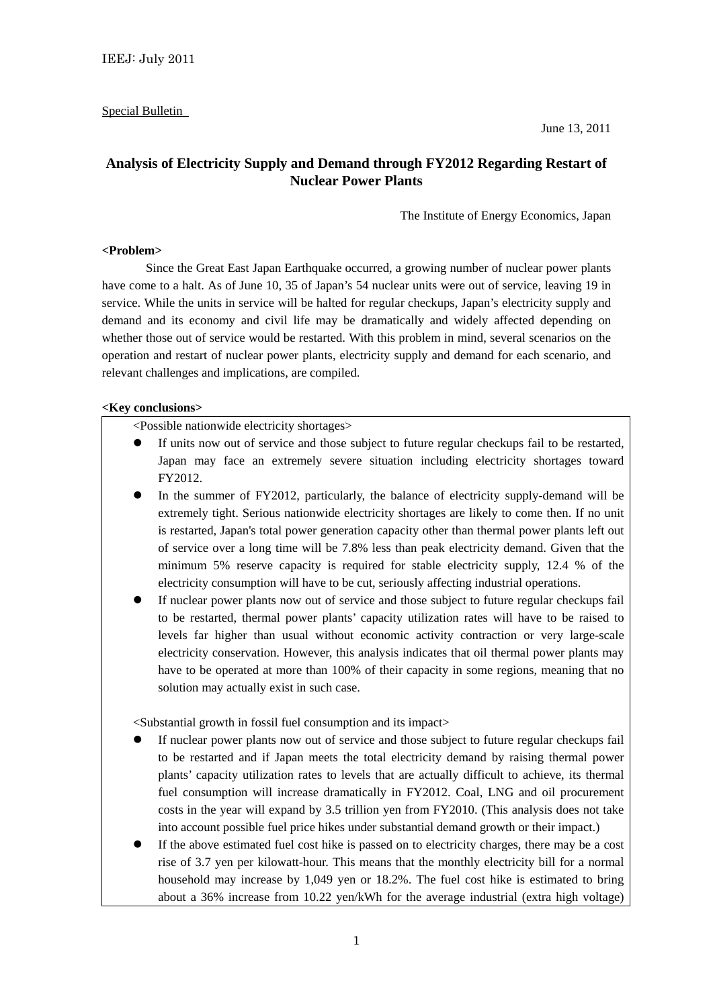## Special Bulletin

June 13, 2011

# **Analysis of Electricity Supply and Demand through FY2012 Regarding Restart of Nuclear Power Plants**

The Institute of Energy Economics, Japan

#### **<Problem>**

 Since the Great East Japan Earthquake occurred, a growing number of nuclear power plants have come to a halt. As of June 10, 35 of Japan's 54 nuclear units were out of service, leaving 19 in service. While the units in service will be halted for regular checkups, Japan's electricity supply and demand and its economy and civil life may be dramatically and widely affected depending on whether those out of service would be restarted. With this problem in mind, several scenarios on the operation and restart of nuclear power plants, electricity supply and demand for each scenario, and relevant challenges and implications, are compiled.

#### **<Key conclusions>**

<Possible nationwide electricity shortages>

- If units now out of service and those subject to future regular checkups fail to be restarted, Japan may face an extremely severe situation including electricity shortages toward FY2012.
- In the summer of FY2012, particularly, the balance of electricity supply-demand will be extremely tight. Serious nationwide electricity shortages are likely to come then. If no unit is restarted, Japan's total power generation capacity other than thermal power plants left out of service over a long time will be 7.8% less than peak electricity demand. Given that the minimum 5% reserve capacity is required for stable electricity supply, 12.4 % of the electricity consumption will have to be cut, seriously affecting industrial operations.
- If nuclear power plants now out of service and those subject to future regular checkups fail to be restarted, thermal power plants' capacity utilization rates will have to be raised to levels far higher than usual without economic activity contraction or very large-scale electricity conservation. However, this analysis indicates that oil thermal power plants may have to be operated at more than 100% of their capacity in some regions, meaning that no solution may actually exist in such case.

<Substantial growth in fossil fuel consumption and its impact>

- If nuclear power plants now out of service and those subject to future regular checkups fail to be restarted and if Japan meets the total electricity demand by raising thermal power plants' capacity utilization rates to levels that are actually difficult to achieve, its thermal fuel consumption will increase dramatically in FY2012. Coal, LNG and oil procurement costs in the year will expand by 3.5 trillion yen from FY2010. (This analysis does not take into account possible fuel price hikes under substantial demand growth or their impact.)
- If the above estimated fuel cost hike is passed on to electricity charges, there may be a cost rise of 3.7 yen per kilowatt-hour. This means that the monthly electricity bill for a normal household may increase by 1,049 yen or 18.2%. The fuel cost hike is estimated to bring about a 36% increase from 10.22 yen/kWh for the average industrial (extra high voltage)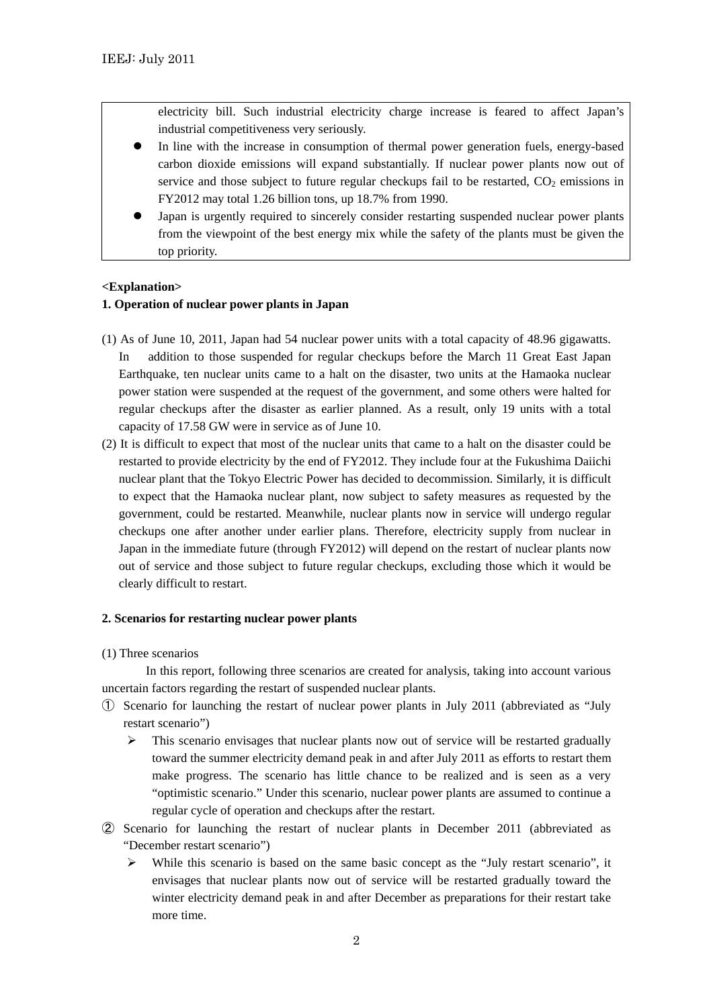electricity bill. Such industrial electricity charge increase is feared to affect Japan's industrial competitiveness very seriously.

- In line with the increase in consumption of thermal power generation fuels, energy-based carbon dioxide emissions will expand substantially. If nuclear power plants now out of service and those subject to future regular checkups fail to be restarted,  $CO<sub>2</sub>$  emissions in FY2012 may total 1.26 billion tons, up 18.7% from 1990.
- Japan is urgently required to sincerely consider restarting suspended nuclear power plants from the viewpoint of the best energy mix while the safety of the plants must be given the top priority.

## **<Explanation>**

## **1. Operation of nuclear power plants in Japan**

- (1) As of June 10, 2011, Japan had 54 nuclear power units with a total capacity of 48.96 gigawatts. In addition to those suspended for regular checkups before the March 11 Great East Japan Earthquake, ten nuclear units came to a halt on the disaster, two units at the Hamaoka nuclear power station were suspended at the request of the government, and some others were halted for regular checkups after the disaster as earlier planned. As a result, only 19 units with a total capacity of 17.58 GW were in service as of June 10.
- (2) It is difficult to expect that most of the nuclear units that came to a halt on the disaster could be restarted to provide electricity by the end of FY2012. They include four at the Fukushima Daiichi nuclear plant that the Tokyo Electric Power has decided to decommission. Similarly, it is difficult to expect that the Hamaoka nuclear plant, now subject to safety measures as requested by the government, could be restarted. Meanwhile, nuclear plants now in service will undergo regular checkups one after another under earlier plans. Therefore, electricity supply from nuclear in Japan in the immediate future (through FY2012) will depend on the restart of nuclear plants now out of service and those subject to future regular checkups, excluding those which it would be clearly difficult to restart.

#### **2. Scenarios for restarting nuclear power plants**

(1) Three scenarios

In this report, following three scenarios are created for analysis, taking into account various uncertain factors regarding the restart of suspended nuclear plants.

- ① Scenario for launching the restart of nuclear power plants in July 2011 (abbreviated as "July restart scenario")
	- $\triangleright$  This scenario envisages that nuclear plants now out of service will be restarted gradually toward the summer electricity demand peak in and after July 2011 as efforts to restart them make progress. The scenario has little chance to be realized and is seen as a very "optimistic scenario." Under this scenario, nuclear power plants are assumed to continue a regular cycle of operation and checkups after the restart.
- ② Scenario for launching the restart of nuclear plants in December 2011 (abbreviated as "December restart scenario")
	- $\triangleright$  While this scenario is based on the same basic concept as the "July restart scenario", it envisages that nuclear plants now out of service will be restarted gradually toward the winter electricity demand peak in and after December as preparations for their restart take more time.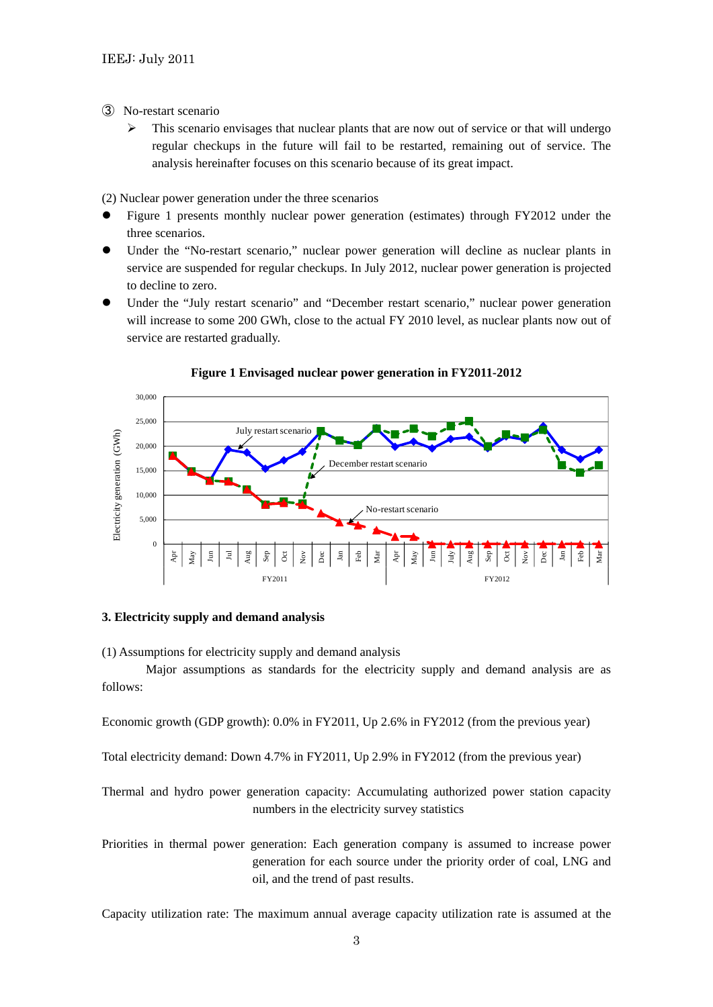- ③ No-restart scenario
	- $\triangleright$  This scenario envisages that nuclear plants that are now out of service or that will undergo regular checkups in the future will fail to be restarted, remaining out of service. The analysis hereinafter focuses on this scenario because of its great impact.

(2) Nuclear power generation under the three scenarios

- Figure 1 presents monthly nuclear power generation (estimates) through FY2012 under the three scenarios.
- Under the "No-restart scenario," nuclear power generation will decline as nuclear plants in service are suspended for regular checkups. In July 2012, nuclear power generation is projected to decline to zero.
- Under the "July restart scenario" and "December restart scenario," nuclear power generation will increase to some 200 GWh, close to the actual FY 2010 level, as nuclear plants now out of service are restarted gradually.



#### **Figure 1 Envisaged nuclear power generation in FY2011-2012**

#### **3. Electricity supply and demand analysis**

(1) Assumptions for electricity supply and demand analysis

 Major assumptions as standards for the electricity supply and demand analysis are as follows:

Economic growth (GDP growth): 0.0% in FY2011, Up 2.6% in FY2012 (from the previous year)

Total electricity demand: Down 4.7% in FY2011, Up 2.9% in FY2012 (from the previous year)

Thermal and hydro power generation capacity: Accumulating authorized power station capacity numbers in the electricity survey statistics

Priorities in thermal power generation: Each generation company is assumed to increase power generation for each source under the priority order of coal, LNG and oil, and the trend of past results.

Capacity utilization rate: The maximum annual average capacity utilization rate is assumed at the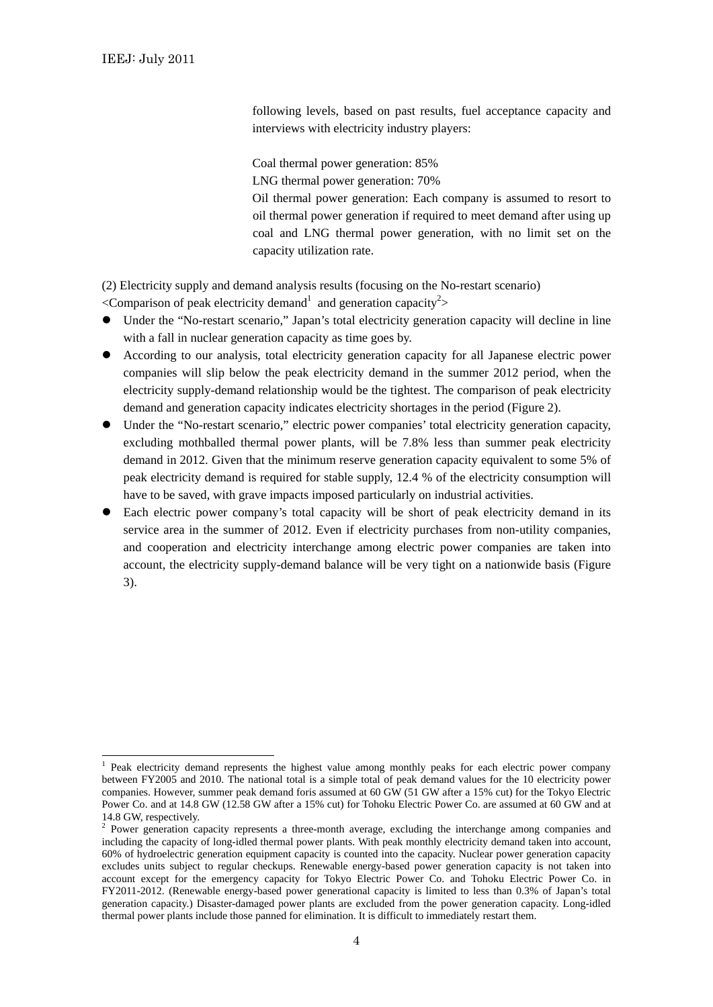-

following levels, based on past results, fuel acceptance capacity and interviews with electricity industry players:

Coal thermal power generation: 85% LNG thermal power generation: 70% Oil thermal power generation: Each company is assumed to resort to oil thermal power generation if required to meet demand after using up coal and LNG thermal power generation, with no limit set on the capacity utilization rate.

(2) Electricity supply and demand analysis results (focusing on the No-restart scenario)

 $\leq$ Comparison of peak electricity demand<sup>1</sup> and generation capacity<sup>2</sup>>

- Under the "No-restart scenario," Japan's total electricity generation capacity will decline in line with a fall in nuclear generation capacity as time goes by.
- According to our analysis, total electricity generation capacity for all Japanese electric power companies will slip below the peak electricity demand in the summer 2012 period, when the electricity supply-demand relationship would be the tightest. The comparison of peak electricity demand and generation capacity indicates electricity shortages in the period (Figure 2).
- Under the "No-restart scenario," electric power companies' total electricity generation capacity, excluding mothballed thermal power plants, will be 7.8% less than summer peak electricity demand in 2012. Given that the minimum reserve generation capacity equivalent to some 5% of peak electricity demand is required for stable supply, 12.4 % of the electricity consumption will have to be saved, with grave impacts imposed particularly on industrial activities.
- Each electric power company's total capacity will be short of peak electricity demand in its service area in the summer of 2012. Even if electricity purchases from non-utility companies, and cooperation and electricity interchange among electric power companies are taken into account, the electricity supply-demand balance will be very tight on a nationwide basis (Figure 3).

<sup>1</sup> Peak electricity demand represents the highest value among monthly peaks for each electric power company between FY2005 and 2010. The national total is a simple total of peak demand values for the 10 electricity power companies. However, summer peak demand foris assumed at 60 GW (51 GW after a 15% cut) for the Tokyo Electric Power Co. and at 14.8 GW (12.58 GW after a 15% cut) for Tohoku Electric Power Co. are assumed at 60 GW and at 14.8 GW, respectively.

<sup>&</sup>lt;sup>2</sup> Power generation capacity represents a three-month average, excluding the interchange among companies and including the capacity of long-idled thermal power plants. With peak monthly electricity demand taken into account, 60% of hydroelectric generation equipment capacity is counted into the capacity. Nuclear power generation capacity excludes units subject to regular checkups. Renewable energy-based power generation capacity is not taken into account except for the emergency capacity for Tokyo Electric Power Co. and Tohoku Electric Power Co. in FY2011-2012. (Renewable energy-based power generational capacity is limited to less than 0.3% of Japan's total generation capacity.) Disaster-damaged power plants are excluded from the power generation capacity. Long-idled thermal power plants include those panned for elimination. It is difficult to immediately restart them.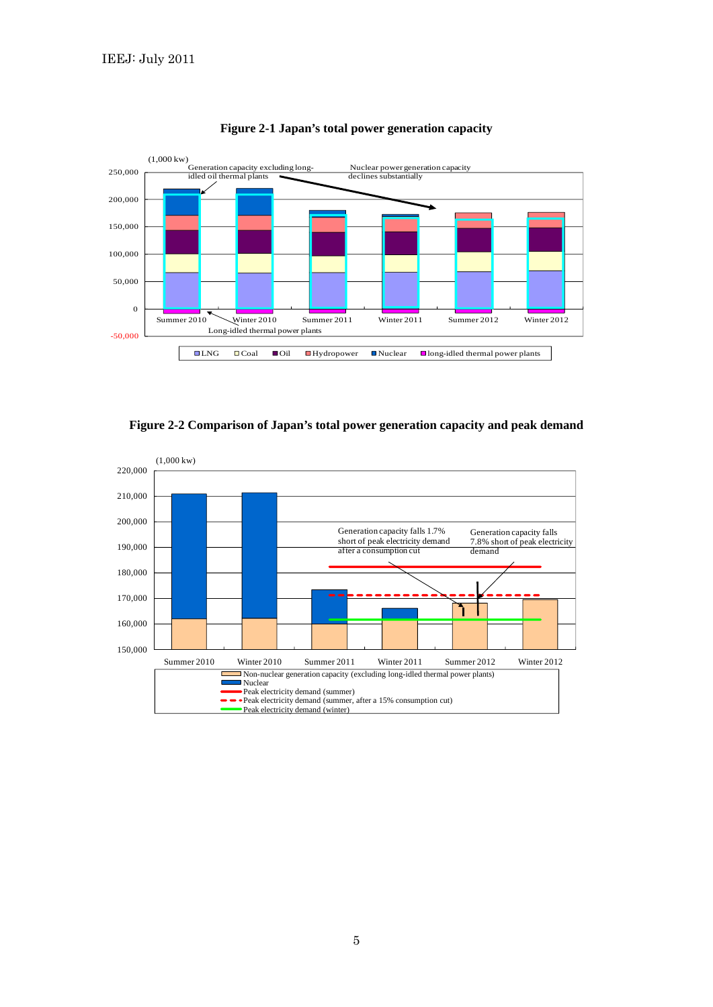

**Figure 2-1 Japan's total power generation capacity**

**Figure 2-2 Comparison of Japan's total power generation capacity and peak demand** 

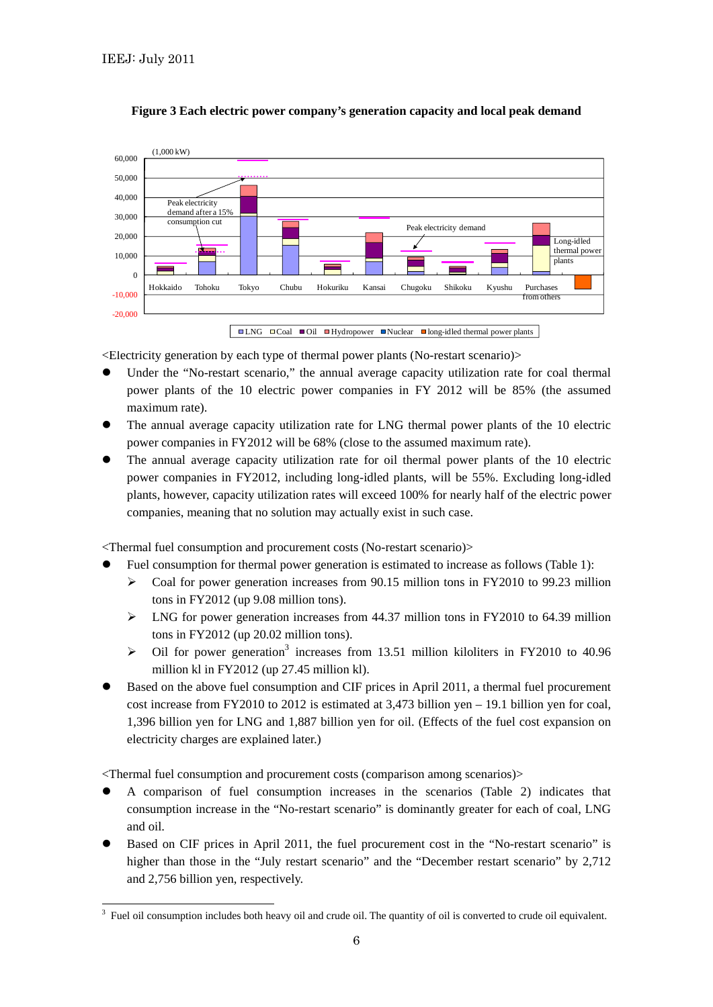

## **Figure 3 Each electric power company's generation capacity and local peak demand**

<Electricity generation by each type of thermal power plants (No-restart scenario)>

- Under the "No-restart scenario," the annual average capacity utilization rate for coal thermal power plants of the 10 electric power companies in FY 2012 will be 85% (the assumed maximum rate).
- The annual average capacity utilization rate for LNG thermal power plants of the 10 electric power companies in FY2012 will be 68% (close to the assumed maximum rate).
- The annual average capacity utilization rate for oil thermal power plants of the 10 electric power companies in FY2012, including long-idled plants, will be 55%. Excluding long-idled plants, however, capacity utilization rates will exceed 100% for nearly half of the electric power companies, meaning that no solution may actually exist in such case.

<Thermal fuel consumption and procurement costs (No-restart scenario)>

- Fuel consumption for thermal power generation is estimated to increase as follows (Table 1):
	- $\triangleright$  Coal for power generation increases from 90.15 million tons in FY2010 to 99.23 million tons in FY2012 (up 9.08 million tons).
	- $\triangleright$  LNG for power generation increases from 44.37 million tons in FY2010 to 64.39 million tons in FY2012 (up 20.02 million tons).
	- $\triangleright$  Oil for power generation<sup>3</sup> increases from 13.51 million kiloliters in FY2010 to 40.96 million kl in FY2012 (up 27.45 million kl).
- Based on the above fuel consumption and CIF prices in April 2011, a thermal fuel procurement cost increase from FY2010 to 2012 is estimated at 3,473 billion yen – 19.1 billion yen for coal, 1,396 billion yen for LNG and 1,887 billion yen for oil. (Effects of the fuel cost expansion on electricity charges are explained later.)

<Thermal fuel consumption and procurement costs (comparison among scenarios)>

- A comparison of fuel consumption increases in the scenarios (Table 2) indicates that consumption increase in the "No-restart scenario" is dominantly greater for each of coal, LNG and oil.
- Based on CIF prices in April 2011, the fuel procurement cost in the "No-restart scenario" is higher than those in the "July restart scenario" and the "December restart scenario" by 2,712 and 2,756 billion yen, respectively.

 3 Fuel oil consumption includes both heavy oil and crude oil. The quantity of oil is converted to crude oil equivalent.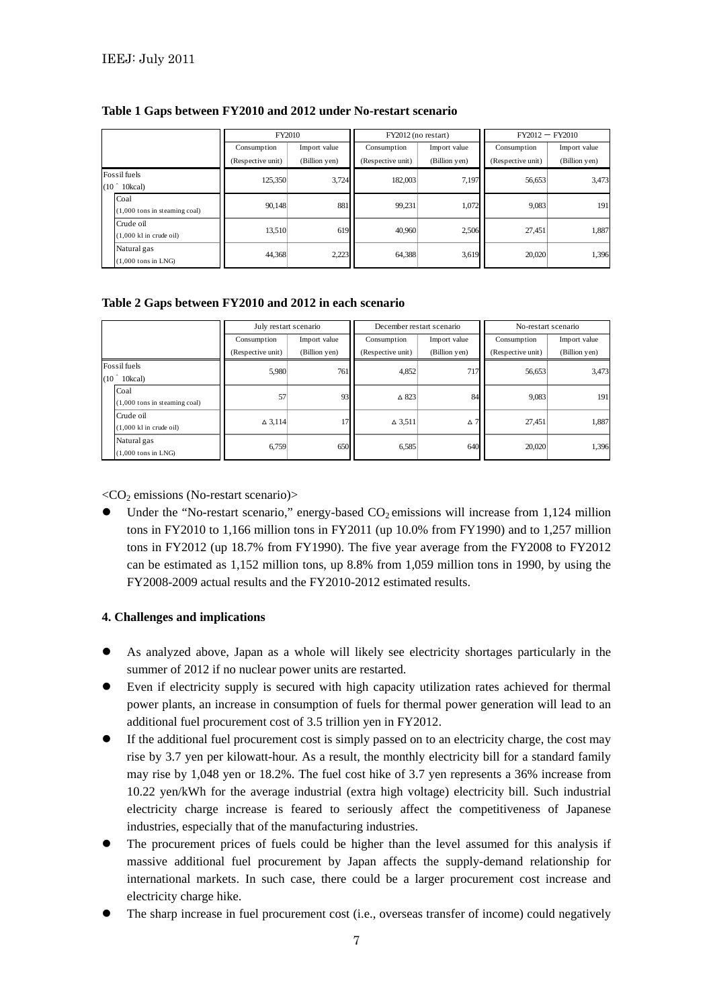|                                                        | FY2010            |               | FY2012 (no restart) |               | $FY2012 - FY2010$ |               |
|--------------------------------------------------------|-------------------|---------------|---------------------|---------------|-------------------|---------------|
|                                                        | Consumption       | Import value  | Consumption         | Import value  | Consumption       | Import value  |
|                                                        | (Respective unit) | (Billion yen) | (Respective unit)   | (Billion yen) | (Respective unit) | (Billion yen) |
| Fossil fuels<br>(10 <sup>°</sup> )<br>10kcal)          | 125,350           | 3,724         | 182,003             | 7,197         | 56,653            | 3,473         |
| Coal<br>$(1,000$ tons in steaming coal)                | 90,148            | 881           | 99,231              | 1,072         | 9,083             | 191           |
| Crude oil<br>$(1,000 \text{ k}1 \text{ in crude oil})$ | 13.510            | 619           | 40,960              | 2.506         | 27.451            | 1,887         |
| Natural gas<br>$(1,000$ tons in LNG $)$                | 44.368            | 2,223         | 64.388              | 3,619         | 20,020            | 1,396         |

## **Table 1 Gaps between FY2010 and 2012 under No-restart scenario**

## **Table 2 Gaps between FY2010 and 2012 in each scenario**

|                                               |                                                        | July restart scenario |               | December restart scenario |               | No-restart scenario |               |
|-----------------------------------------------|--------------------------------------------------------|-----------------------|---------------|---------------------------|---------------|---------------------|---------------|
|                                               |                                                        | Consumption           | Import value  | Consumption               | Import value  | Consumption         | Import value  |
|                                               |                                                        | (Respective unit)     | (Billion yen) | (Respective unit)         | (Billion yen) | (Respective unit)   | (Billion yen) |
| Fossil fuels<br>(10 <sup>°</sup> )<br>10kcal) |                                                        | 5,980                 | 761           | 4,852                     | 717           | 56,653              | 3,473         |
|                                               | Coal<br>$(1,000$ tons in steaming coal)                | 57                    | 93            | $\triangle$ 823           | 84            | 9,083               | 191           |
|                                               | Crude oil<br>$(1,000 \text{ k}1 \text{ in crude oil})$ | $\Delta$ 3.114        |               | $\triangle$ 3.511         | Δ7            | 27.451              | 1,887         |
|                                               | Natural gas<br>$(1,000$ tons in LNG $)$                | 6,759                 | 650           | 6,585                     | 640           | 20,020              | 1,396         |

 $\langle CO_2$  emissions (No-restart scenario)>

Under the "No-restart scenario," energy-based  $CO<sub>2</sub>$  emissions will increase from 1,124 million tons in FY2010 to 1,166 million tons in FY2011 (up 10.0% from FY1990) and to 1,257 million tons in FY2012 (up 18.7% from FY1990). The five year average from the FY2008 to FY2012 can be estimated as 1,152 million tons, up 8.8% from 1,059 million tons in 1990, by using the FY2008-2009 actual results and the FY2010-2012 estimated results.

## **4. Challenges and implications**

- As analyzed above, Japan as a whole will likely see electricity shortages particularly in the summer of 2012 if no nuclear power units are restarted.
- Even if electricity supply is secured with high capacity utilization rates achieved for thermal power plants, an increase in consumption of fuels for thermal power generation will lead to an additional fuel procurement cost of 3.5 trillion yen in FY2012.
- If the additional fuel procurement cost is simply passed on to an electricity charge, the cost may rise by 3.7 yen per kilowatt-hour. As a result, the monthly electricity bill for a standard family may rise by 1,048 yen or 18.2%. The fuel cost hike of 3.7 yen represents a 36% increase from 10.22 yen/kWh for the average industrial (extra high voltage) electricity bill. Such industrial electricity charge increase is feared to seriously affect the competitiveness of Japanese industries, especially that of the manufacturing industries.
- The procurement prices of fuels could be higher than the level assumed for this analysis if massive additional fuel procurement by Japan affects the supply-demand relationship for international markets. In such case, there could be a larger procurement cost increase and electricity charge hike.
- The sharp increase in fuel procurement cost (i.e., overseas transfer of income) could negatively